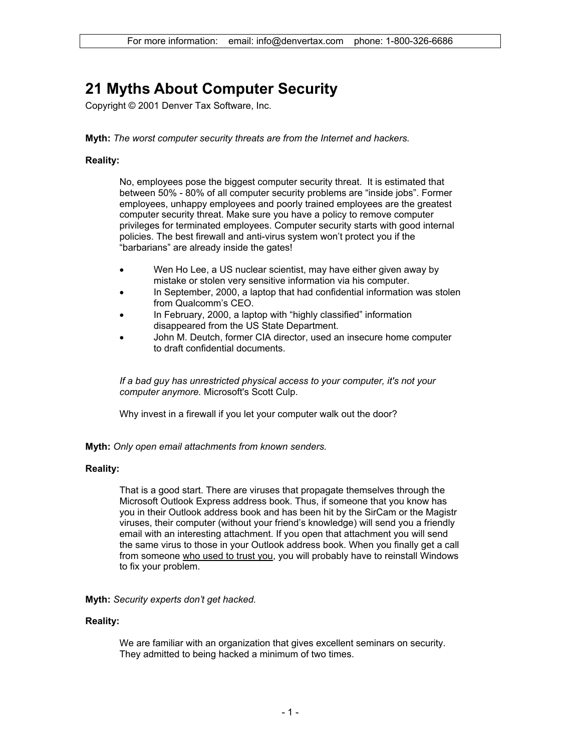# **21 Myths About Computer Security**

Copyright © 2001 Denver Tax Software, Inc.

**Myth:** *The worst computer security threats are from the Internet and hackers.*

## **Reality:**

No, employees pose the biggest computer security threat. It is estimated that between 50% - 80% of all computer security problems are "inside jobs". Former employees, unhappy employees and poorly trained employees are the greatest computer security threat. Make sure you have a policy to remove computer privileges for terminated employees. Computer security starts with good internal policies. The best firewall and anti-virus system won't protect you if the "barbarians" are already inside the gates!

- Wen Ho Lee, a US nuclear scientist, may have either given away by mistake or stolen very sensitive information via his computer.
- In September, 2000, a laptop that had confidential information was stolen from Qualcomm's CEO.
- In February, 2000, a laptop with "highly classified" information disappeared from the US State Department.
- John M. Deutch, former CIA director, used an insecure home computer to draft confidential documents.

*If a bad guy has unrestricted physical access to your computer, it's not your computer anymore.* Microsoft's Scott Culp.

Why invest in a firewall if you let your computer walk out the door?

**Myth:** *Only open email attachments from known senders.* 

## **Reality:**

That is a good start. There are viruses that propagate themselves through the Microsoft Outlook Express address book. Thus, if someone that you know has you in their Outlook address book and has been hit by the SirCam or the Magistr viruses, their computer (without your friend's knowledge) will send you a friendly email with an interesting attachment. If you open that attachment you will send the same virus to those in your Outlook address book. When you finally get a call from someone who used to trust you, you will probably have to reinstall Windows to fix your problem.

## **Myth:** *Security experts don't get hacked.*

## **Reality:**

We are familiar with an organization that gives excellent seminars on security. They admitted to being hacked a minimum of two times.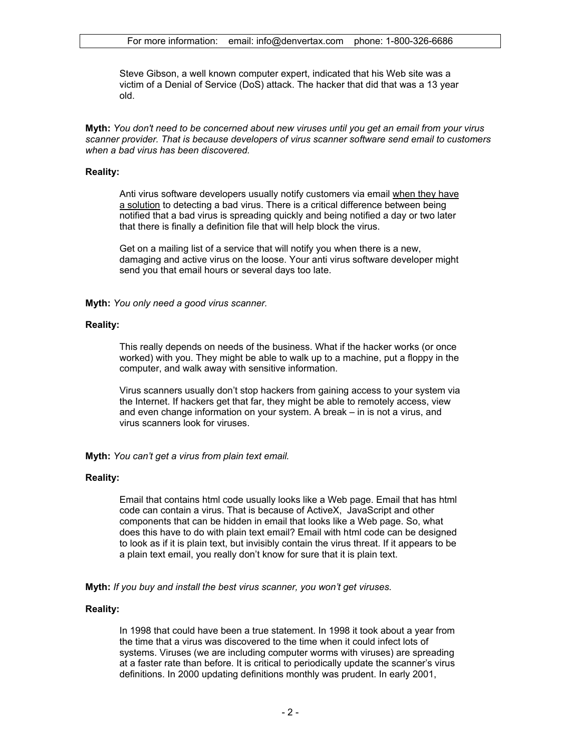Steve Gibson, a well known computer expert, indicated that his Web site was a victim of a Denial of Service (DoS) attack. The hacker that did that was a 13 year old.

**Myth:** *You don't need to be concerned about new viruses until you get an email from your virus scanner provider. That is because developers of virus scanner software send email to customers when a bad virus has been discovered.* 

## **Reality:**

Anti virus software developers usually notify customers via email when they have a solution to detecting a bad virus. There is a critical difference between being notified that a bad virus is spreading quickly and being notified a day or two later that there is finally a definition file that will help block the virus.

Get on a mailing list of a service that will notify you when there is a new, damaging and active virus on the loose. Your anti virus software developer might send you that email hours or several days too late.

**Myth:** *You only need a good virus scanner.* 

## **Reality:**

This really depends on needs of the business. What if the hacker works (or once worked) with you. They might be able to walk up to a machine, put a floppy in the computer, and walk away with sensitive information.

Virus scanners usually don't stop hackers from gaining access to your system via the Internet. If hackers get that far, they might be able to remotely access, view and even change information on your system. A break – in is not a virus, and virus scanners look for viruses.

**Myth:** *You can't get a virus from plain text email.*

## **Reality:**

Email that contains html code usually looks like a Web page. Email that has html code can contain a virus. That is because of ActiveX, JavaScript and other components that can be hidden in email that looks like a Web page. So, what does this have to do with plain text email? Email with html code can be designed to look as if it is plain text, but invisibly contain the virus threat. If it appears to be a plain text email, you really don't know for sure that it is plain text.

**Myth:** *If you buy and install the best virus scanner, you won't get viruses.* 

## **Reality:**

In 1998 that could have been a true statement. In 1998 it took about a year from the time that a virus was discovered to the time when it could infect lots of systems. Viruses (we are including computer worms with viruses) are spreading at a faster rate than before. It is critical to periodically update the scanner's virus definitions. In 2000 updating definitions monthly was prudent. In early 2001,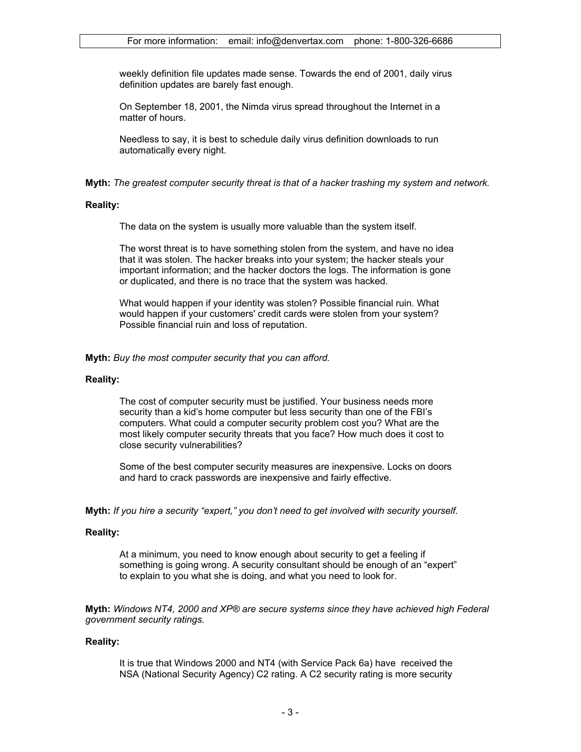weekly definition file updates made sense. Towards the end of 2001, daily virus definition updates are barely fast enough.

On September 18, 2001, the Nimda virus spread throughout the Internet in a matter of hours.

Needless to say, it is best to schedule daily virus definition downloads to run automatically every night.

**Myth:** *The greatest computer security threat is that of a hacker trashing my system and network.* 

## **Reality:**

The data on the system is usually more valuable than the system itself.

The worst threat is to have something stolen from the system, and have no idea that it was stolen. The hacker breaks into your system; the hacker steals your important information; and the hacker doctors the logs. The information is gone or duplicated, and there is no trace that the system was hacked.

What would happen if your identity was stolen? Possible financial ruin. What would happen if your customers' credit cards were stolen from your system? Possible financial ruin and loss of reputation.

**Myth:** *Buy the most computer security that you can afford.* 

#### **Reality:**

The cost of computer security must be justified. Your business needs more security than a kid's home computer but less security than one of the FBI's computers. What could a computer security problem cost you? What are the most likely computer security threats that you face? How much does it cost to close security vulnerabilities?

Some of the best computer security measures are inexpensive. Locks on doors and hard to crack passwords are inexpensive and fairly effective.

**Myth:** *If you hire a security "expert," you don't need to get involved with security yourself.* 

## **Reality:**

At a minimum, you need to know enough about security to get a feeling if something is going wrong. A security consultant should be enough of an "expert" to explain to you what she is doing, and what you need to look for.

**Myth:** *Windows NT4, 2000 and XP® are secure systems since they have achieved high Federal government security ratings.* 

## **Reality:**

It is true that Windows 2000 and NT4 (with Service Pack 6a) have received the NSA (National Security Agency) C2 rating. A C2 security rating is more security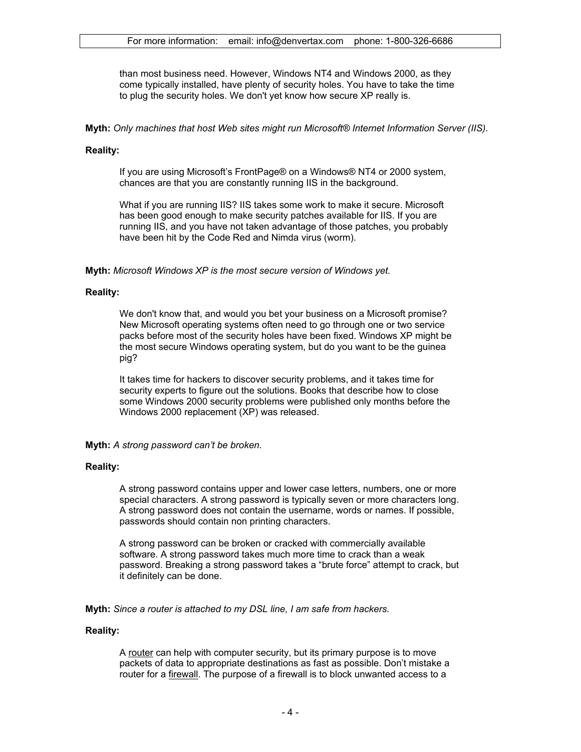than most business need. However, Windows NT4 and Windows 2000, as they come typically installed, have plenty of security holes. You have to take the time to plug the security holes. We don't yet know how secure XP really is.

**Myth:** *Only machines that host Web sites might run Microsoft® Internet Information Server (IIS).* 

#### **Reality:**

If you are using Microsoft's FrontPage® on a Windows® NT4 or 2000 system, chances are that you are constantly running IIS in the background.

What if you are running IIS? IIS takes some work to make it secure. Microsoft has been good enough to make security patches available for IIS. If you are running IIS, and you have not taken advantage of those patches, you probably have been hit by the Code Red and Nimda virus (worm).

**Myth:** *Microsoft Windows XP is the most secure version of Windows yet.* 

#### **Reality:**

We don't know that, and would you bet your business on a Microsoft promise? New Microsoft operating systems often need to go through one or two service packs before most of the security holes have been fixed. Windows XP might be the most secure Windows operating system, but do you want to be the guinea pig?

It takes time for hackers to discover security problems, and it takes time for security experts to figure out the solutions. Books that describe how to close some Windows 2000 security problems were published only months before the Windows 2000 replacement (XP) was released.

**Myth:** *A strong password can't be broken.* 

#### **Reality:**

A strong password contains upper and lower case letters, numbers, one or more special characters. A strong password is typically seven or more characters long. A strong password does not contain the username, words or names. If possible, passwords should contain non printing characters.

A strong password can be broken or cracked with commercially available software. A strong password takes much more time to crack than a weak password. Breaking a strong password takes a "brute force" attempt to crack, but it definitely can be done.

**Myth:** *Since a router is attached to my DSL line, I am safe from hackers.* 

#### **Reality:**

A router can help with computer security, but its primary purpose is to move packets of data to appropriate destinations as fast as possible. Don't mistake a router for a firewall. The purpose of a firewall is to block unwanted access to a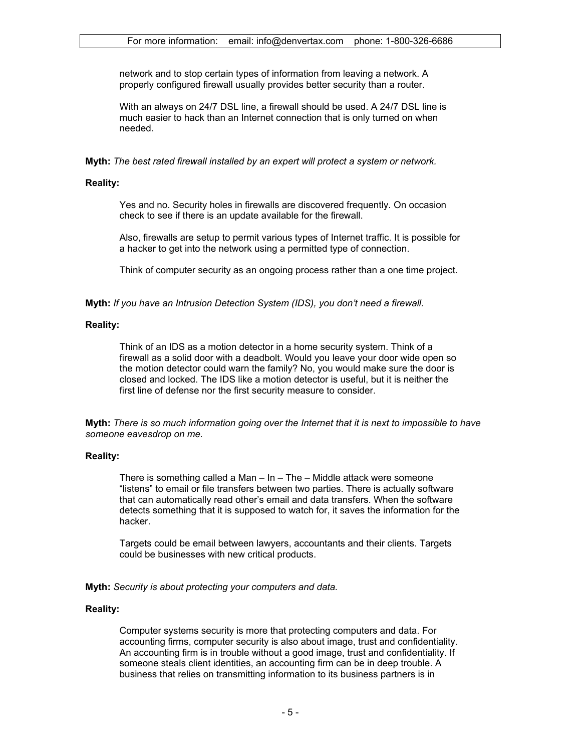network and to stop certain types of information from leaving a network. A properly configured firewall usually provides better security than a router.

With an always on 24/7 DSL line, a firewall should be used. A 24/7 DSL line is much easier to hack than an Internet connection that is only turned on when needed.

**Myth:** *The best rated firewall installed by an expert will protect a system or network.* 

## **Reality:**

Yes and no. Security holes in firewalls are discovered frequently. On occasion check to see if there is an update available for the firewall.

Also, firewalls are setup to permit various types of Internet traffic. It is possible for a hacker to get into the network using a permitted type of connection.

Think of computer security as an ongoing process rather than a one time project.

**Myth:** *If you have an Intrusion Detection System (IDS), you don't need a firewall.* 

## **Reality:**

Think of an IDS as a motion detector in a home security system. Think of a firewall as a solid door with a deadbolt. Would you leave your door wide open so the motion detector could warn the family? No, you would make sure the door is closed and locked. The IDS like a motion detector is useful, but it is neither the first line of defense nor the first security measure to consider.

**Myth:** *There is so much information going over the Internet that it is next to impossible to have someone eavesdrop on me.* 

## **Reality:**

There is something called a Man – In – The – Middle attack were someone "listens" to email or file transfers between two parties. There is actually software that can automatically read other's email and data transfers. When the software detects something that it is supposed to watch for, it saves the information for the hacker.

Targets could be email between lawyers, accountants and their clients. Targets could be businesses with new critical products.

**Myth:** *Security is about protecting your computers and data.* 

## **Reality:**

Computer systems security is more that protecting computers and data. For accounting firms, computer security is also about image, trust and confidentiality. An accounting firm is in trouble without a good image, trust and confidentiality. If someone steals client identities, an accounting firm can be in deep trouble. A business that relies on transmitting information to its business partners is in